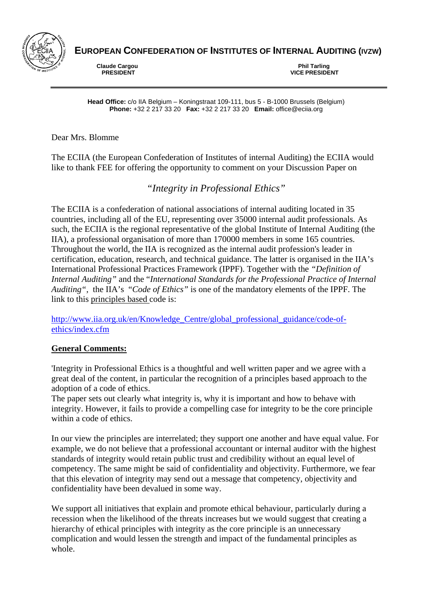

**EUROPEAN CONFEDERATION OF INSTITUTES OF INTERNAL AUDITING (IVZW)** 

**Claude Cargou<br>PRESIDENT** 

 **PRESIDENT VICE PRESIDENT** 

**Head Office:** c/o IIA Belgium – Koningstraat 109-111, bus 5 - B-1000 Brussels (Belgium) **Phone:** +32 2 217 33 20 **Fax:** +32 2 217 33 20 **Email:** office@eciia.org

Dear Mrs. Blomme

The ECIIA (the European Confederation of Institutes of internal Auditing) the ECIIA would like to thank FEE for offering the opportunity to comment on your Discussion Paper on

*"Integrity in Professional Ethics"* 

The ECIIA is a confederation of national associations of internal auditing located in 35 countries, including all of the EU, representing over 35000 internal audit professionals. As such, the ECIIA is the regional representative of the global Institute of Internal Auditing (the IIA), a professional organisation of more than 170000 members in some 165 countries. Throughout the world, the IIA is recognized as the internal audit profession's leader in certification, education, research, and technical guidance. The latter is organised in the IIA's International Professional Practices Framework (IPPF). Together with the *"Definition of Internal Auditing"* and the "*International Standards for the Professional Practice of Internal Auditing"*, the IIA's "*Code of Ethics"* is one of the mandatory elements of the IPPF. The link to this principles based code is:

http://www.iia.org.uk/en/Knowledge\_Centre/global\_professional\_guidance/code-ofethics/index.cfm

# **General Comments:**

'Integrity in Professional Ethics is a thoughtful and well written paper and we agree with a great deal of the content, in particular the recognition of a principles based approach to the adoption of a code of ethics.

The paper sets out clearly what integrity is, why it is important and how to behave with integrity. However, it fails to provide a compelling case for integrity to be the core principle within a code of ethics.

In our view the principles are interrelated; they support one another and have equal value. For example, we do not believe that a professional accountant or internal auditor with the highest standards of integrity would retain public trust and credibility without an equal level of competency. The same might be said of confidentiality and objectivity. Furthermore, we fear that this elevation of integrity may send out a message that competency, objectivity and confidentiality have been devalued in some way.

We support all initiatives that explain and promote ethical behaviour, particularly during a recession when the likelihood of the threats increases but we would suggest that creating a hierarchy of ethical principles with integrity as the core principle is an unnecessary complication and would lessen the strength and impact of the fundamental principles as whole.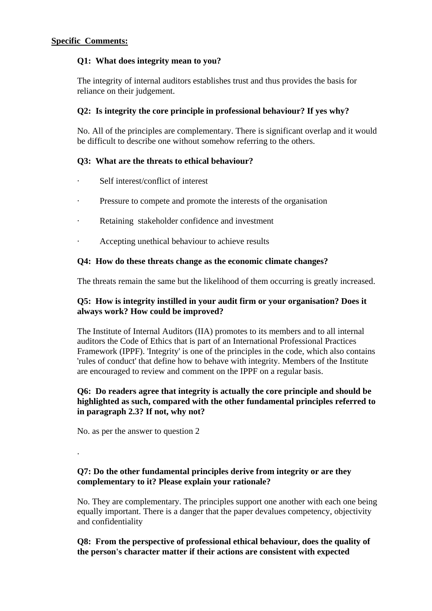### **Q1: What does integrity mean to you?**

The integrity of internal auditors establishes trust and thus provides the basis for reliance on their judgement.

## **Q2: Is integrity the core principle in professional behaviour? If yes why?**

No. All of the principles are complementary. There is significant overlap and it would be difficult to describe one without somehow referring to the others.

# **Q3: What are the threats to ethical behaviour?**

- Self interest/conflict of interest
- · Pressure to compete and promote the interests of the organisation
- · Retaining stakeholder confidence and investment
- Accepting unethical behaviour to achieve results

### **Q4: How do these threats change as the economic climate changes?**

The threats remain the same but the likelihood of them occurring is greatly increased.

### **Q5: How is integrity instilled in your audit firm or your organisation? Does it always work? How could be improved?**

The Institute of Internal Auditors (IIA) promotes to its members and to all internal auditors the Code of Ethics that is part of an International Professional Practices Framework (IPPF). 'Integrity' is one of the principles in the code, which also contains 'rules of conduct' that define how to behave with integrity. Members of the Institute are encouraged to review and comment on the IPPF on a regular basis.

#### **Q6: Do readers agree that integrity is actually the core principle and should be highlighted as such, compared with the other fundamental principles referred to in paragraph 2.3? If not, why not?**

No. as per the answer to question 2

.

**Q7: Do the other fundamental principles derive from integrity or are they complementary to it? Please explain your rationale?** 

No. They are complementary. The principles support one another with each one being equally important. There is a danger that the paper devalues competency, objectivity and confidentiality

### **Q8: From the perspective of professional ethical behaviour, does the quality of the person's character matter if their actions are consistent with expected**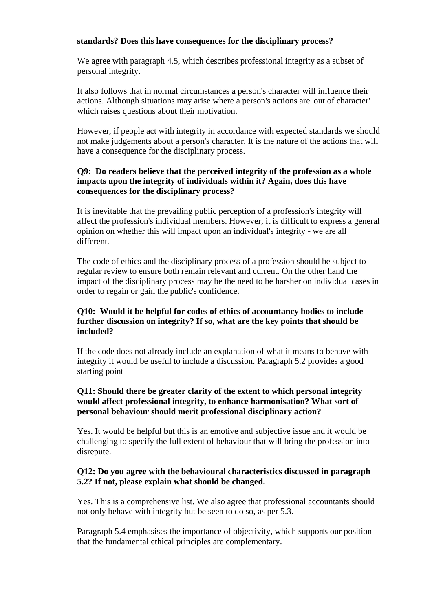#### **standards? Does this have consequences for the disciplinary process?**

We agree with paragraph 4.5, which describes professional integrity as a subset of personal integrity.

It also follows that in normal circumstances a person's character will influence their actions. Although situations may arise where a person's actions are 'out of character' which raises questions about their motivation.

However, if people act with integrity in accordance with expected standards we should not make judgements about a person's character. It is the nature of the actions that will have a consequence for the disciplinary process.

# **Q9: Do readers believe that the perceived integrity of the profession as a whole impacts upon the integrity of individuals within it? Again, does this have consequences for the disciplinary process?**

It is inevitable that the prevailing public perception of a profession's integrity will affect the profession's individual members. However, it is difficult to express a general opinion on whether this will impact upon an individual's integrity - we are all different.

The code of ethics and the disciplinary process of a profession should be subject to regular review to ensure both remain relevant and current. On the other hand the impact of the disciplinary process may be the need to be harsher on individual cases in order to regain or gain the public's confidence.

## **Q10: Would it be helpful for codes of ethics of accountancy bodies to include further discussion on integrity? If so, what are the key points that should be included?**

If the code does not already include an explanation of what it means to behave with integrity it would be useful to include a discussion. Paragraph 5.2 provides a good starting point

## **Q11: Should there be greater clarity of the extent to which personal integrity would affect professional integrity, to enhance harmonisation? What sort of personal behaviour should merit professional disciplinary action?**

Yes. It would be helpful but this is an emotive and subjective issue and it would be challenging to specify the full extent of behaviour that will bring the profession into disrepute.

### **Q12: Do you agree with the behavioural characteristics discussed in paragraph 5.2? If not, please explain what should be changed.**

Yes. This is a comprehensive list. We also agree that professional accountants should not only behave with integrity but be seen to do so, as per 5.3.

Paragraph 5.4 emphasises the importance of objectivity, which supports our position that the fundamental ethical principles are complementary.